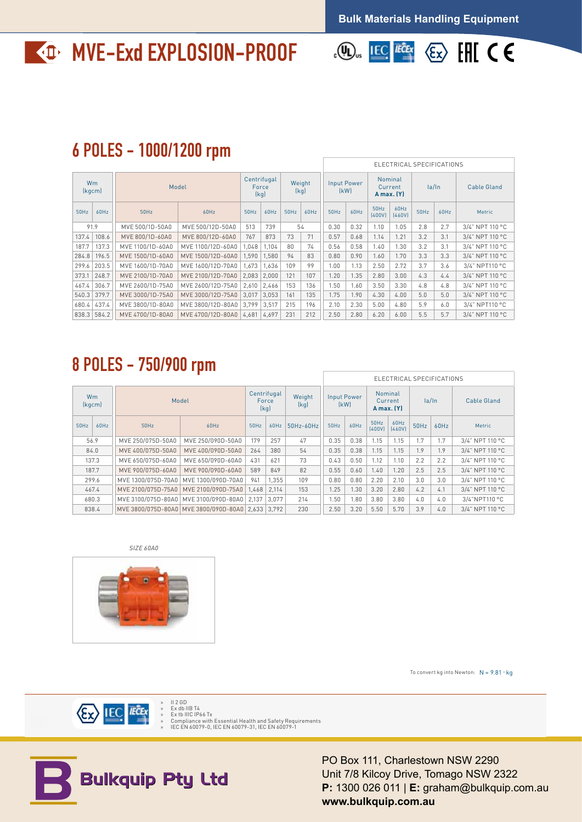## **MVE-Exd EXPLOSION-PROOF**



## 6 POLES - 1000/1200 rpm

|      |               |                 |                                                                                                            | ELECTRICAL SPECIFICATIONS    |                |                            |                                         |             |                                         |                                                                                                                               |           |                    |                 |
|------|---------------|-----------------|------------------------------------------------------------------------------------------------------------|------------------------------|----------------|----------------------------|-----------------------------------------|-------------|-----------------------------------------|-------------------------------------------------------------------------------------------------------------------------------|-----------|--------------------|-----------------|
| Wm   | (kgcm)        | Model           |                                                                                                            | Centrifugal<br>Force<br>[kq] | Weight<br>[kq] | <b>Input Power</b><br>(kW) |                                         |             | Nominal<br>Current<br><b>A</b> max. (Y) |                                                                                                                               | la/In     | <b>Cable Gland</b> |                 |
|      | $50Hz$ 60Hz   | 50Hz            | 60Hz                                                                                                       | 50Hz                         |                | $60Hz$ 50Hz 60Hz           | $50$ Hz                                 |             |                                         | $\begin{array}{ c c c c } \hline 50 \text{Hz} & 60 \text{Hz} \\ \hline (400 \text{V}) & (460 \text{V}) \\ \hline \end{array}$ |           | $50$ Hz $60$ Hz    | Metric          |
| 91.9 |               | MVE 500/1D-50A0 | MVE 500/12D-50A0                                                                                           |                              | $513$ 739      | 54                         | 0.30                                    | 0.32        | 1.10                                    | 1.05                                                                                                                          | $2.8$ 2.7 |                    | 3/4" NPT 110 °C |
|      | 137.4 108.6   | MVE 800/1D-60A0 | MVE 800/12D-60A0   767   873   73   71                                                                     |                              |                |                            |                                         | $0.57$ 0.68 | 1.14                                    | $1.21$ 3.2 3.1                                                                                                                |           |                    | 3/4" NPT 110 °C |
|      | $187.7$ 137.3 |                 | MVE 1100/1D-60A0   MVE 1100/12D-60A0   1,048   1,104   80   74                                             |                              |                |                            |                                         |             | $0.56$ $0.58$ 1.40                      | $1.30$ 3.2 3.1                                                                                                                |           |                    | 3/4" NPT 110 °C |
|      |               |                 | 284.8   196.5    MVE 1500/1D-60A0   MVE 1500/12D-60A0   1,590   1,580    94    83                          |                              |                |                            |                                         |             |                                         | $0.80$   $0.90$   $1.60$   $1.70$   $3.3$   $3.3$                                                                             |           |                    | 3/4" NPT 110 °C |
|      | 299.6 203.5   |                 | MVE 1600/1D-70A0   MVE 1600/12D-70A0   1,673   1,636   109   99                                            |                              |                |                            | $1.00$   1.13   2.50   2.72   3.7   3.6 |             |                                         |                                                                                                                               |           |                    | 3/4" NPT110 °C  |
|      | 373.1 248.7   |                 | MVE 2100/1D-70A0   MVE 2100/12D-70A0   2,083   2,000   121   107     1.20   1.35   2.80   3.00   4.3   4.4 |                              |                |                            |                                         |             |                                         |                                                                                                                               |           |                    | 3/4" NPT 110 °C |
|      | $467.4$ 306.7 |                 | MVE 2600/1D-75A0   MVE 2600/12D-75A0   2,610   2,466   153   136    1.50   1.60   3.50   3.30   4.8   4.8  |                              |                |                            |                                         |             |                                         |                                                                                                                               |           |                    | 3/4" NPT 110 °C |
|      | 540.3 379.7   |                 | MVE 3000/1D-75A0   MVE 3000/12D-75A0   3,017   3,053   161   135     1.75   1.90   4.30   4.00   5.0   5.0 |                              |                |                            |                                         |             |                                         |                                                                                                                               |           |                    | 3/4" NPT 110 °C |
|      | $680.4$ 437.4 |                 | MVE 3800/1D-80A0   MVE 3800/12D-80A0   3,799   3,517   215   196    2.10   2.30   5.00   4.80   5.9   6.0  |                              |                |                            |                                         |             |                                         |                                                                                                                               |           |                    | 3/4" NPT110 °C  |
|      |               |                 | 838.3 584.2 WVE 4700/1D-80A0 MVE 4700/12D-80A0 4,681 4,697 231 212 250 2.80 6.20 6.00 5.5 5.7              |                              |                |                            |                                         |             |                                         |                                                                                                                               |           |                    | 3/4" NPT 110 °C |

## 8 POLES - 750/900 rpm

|                     |  |                                                         | ELECTRICAL SPECIFICATIONS                    |     |                              |                              |                                                   |      |                                         |                                                                            |              |                    |
|---------------------|--|---------------------------------------------------------|----------------------------------------------|-----|------------------------------|------------------------------|---------------------------------------------------|------|-----------------------------------------|----------------------------------------------------------------------------|--------------|--------------------|
| <b>Wm</b><br>(kgcm) |  | Model                                                   |                                              |     | Centrifugal<br>Force<br>(kg) | Weight<br>(kg)               | <b>Input Power</b><br>[kW]                        |      | Nominal<br>Current<br><b>A</b> max. (Y) |                                                                            | $l$ a/ln     | <b>Cable Gland</b> |
| $50$ Hz $60$ Hz     |  | 50Hz                                                    | 60Hz                                         |     |                              | $50$ Hz $60$ Hz $50$ Hz-60Hz | $50Hz$ 60Hz                                       |      | $50$ Hz $60$ Hz<br>$(400V)$ $(460V)$    |                                                                            | $50Hz$ 60Hz  | Metric             |
| 56.9                |  |                                                         | MVE 250/075D-50A0   MVE 250/090D-50A0<br>179 |     | 257                          | 47                           | $0.35$ 0.38                                       | 1.15 | 1.15                                    |                                                                            | $1.7$ 1.7    | 3/4" NPT 110 °C    |
| 84.0                |  | MVE 400/075D-50A0   MVE 400/090D-50A0   264   380       |                                              |     |                              | 54                           | $0.35$ 0.38 1.15 1.15 1.9 1.9                     |      |                                         |                                                                            |              | 3/4" NPT 110 °C    |
| 137.3               |  | MVE 650/075D-60A0   MVE 650/090D-60A0                   |                                              | 431 | 621                          | 73                           | $0.43$   $0.50$   $1.12$   $1.10$   $2.2$   $2.2$ |      |                                         |                                                                            |              | 3/4" NPT 110 °C    |
| 187.7               |  | MVE 900/075D-60A0 MVE 900/090D-60A0 589                 |                                              |     | 849                          | 82                           |                                                   |      |                                         | $0.55$ 0.60 1.40 1.20 2.5 2.5<br>$0.80$   $0.80$   2.20   2.10   3.0   3.0 |              | 3/4" NPT 110 °C    |
| 299.6               |  | MVE 1300/075D-70A0   MVE 1300/090D-70A0   941   1,355   |                                              |     |                              | 109                          |                                                   |      |                                         |                                                                            |              | 3/4" NPT 110 °C    |
| 467.4<br>680.3      |  | MVE 2100/075D-75A0   MVE 2100/090D-75A0   1,468   2,114 |                                              |     |                              | 153                          | $1.25$   $1.30$   $3.20$   $2.80$                 |      |                                         | $4.2$ 4.1                                                                  |              | 3/4" NPT 110 °C    |
|                     |  | MVE 3100/075D-80A0   MVE 3100/090D-80A0   2,137   3,077 |                                              |     |                              | 214                          | $1.50$   $1.80$   $3.80$                          |      | 3.80                                    |                                                                            | $4.0 \pm .0$ | 3/4"NPT110 °C      |
| 838.4               |  | MVE 3800/075D-80A0 MVE 3800/090D-80A0 2,633 3,792       |                                              |     |                              | 230                          | $2.50$   3.20   5.50   5.70                       |      |                                         | $3.9$ 4.0                                                                  |              | 3/4" NPT 110 °C    |

SIZE 60A0



To convert kg into Newton:  $N = 9.81 \cdot kg$ 



» Ex db IIB T4 » Ex tb IIIC IP66 Tx » Compliance with Essential Health and Safety Requirements » IEC EN 60079-0, IEC EN 60079-31, IEC EN 60079-1



PO Box 111, Charlestown NSW 2290 Unit 7/8 Kilcoy Drive, Tomago NSW 2322 **P:** 1300 026 011 | **E:** graham@bulkquip.com.au **www.bulkquip.com.au**